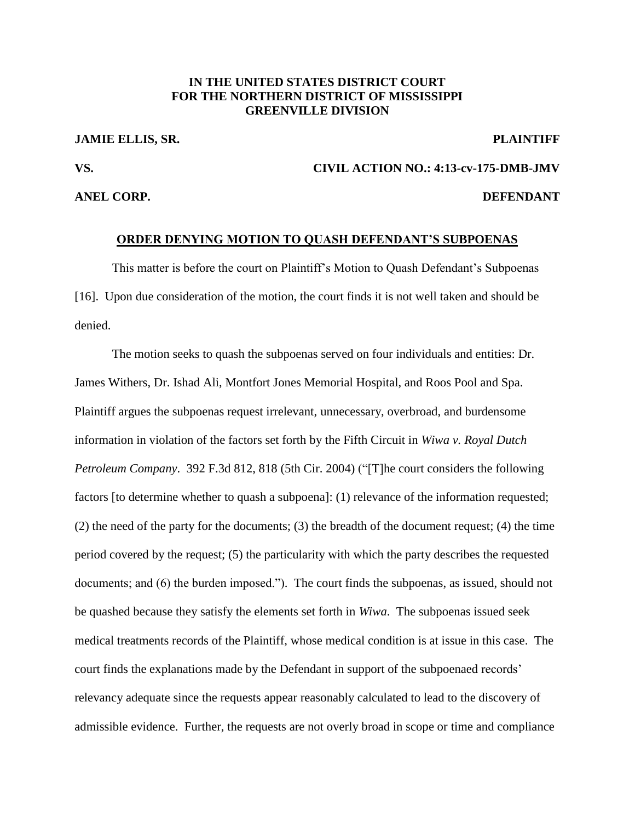# **IN THE UNITED STATES DISTRICT COURT FOR THE NORTHERN DISTRICT OF MISSISSIPPI GREENVILLE DIVISION**

# **JAMIE ELLIS, SR. PLAINTIFF**

# **VS. CIVIL ACTION NO.: 4:13-cv-175-DMB-JMV**

# **ANEL CORP. DEFENDANT**

### **ORDER DENYING MOTION TO QUASH DEFENDANT'S SUBPOENAS**

This matter is before the court on Plaintiff's Motion to Quash Defendant's Subpoenas [16]. Upon due consideration of the motion, the court finds it is not well taken and should be denied.

The motion seeks to quash the subpoenas served on four individuals and entities: Dr. James Withers, Dr. Ishad Ali, Montfort Jones Memorial Hospital, and Roos Pool and Spa. Plaintiff argues the subpoenas request irrelevant, unnecessary, overbroad, and burdensome information in violation of the factors set forth by the Fifth Circuit in *Wiwa v. Royal Dutch Petroleum Company*. 392 F.3d 812, 818 (5th Cir. 2004) ("[T]he court considers the following factors [to determine whether to quash a subpoena]: (1) relevance of the information requested; (2) the need of the party for the documents; (3) the breadth of the document request; (4) the time period covered by the request; (5) the particularity with which the party describes the requested documents; and (6) the burden imposed."). The court finds the subpoenas, as issued, should not be quashed because they satisfy the elements set forth in *Wiwa*. The subpoenas issued seek medical treatments records of the Plaintiff, whose medical condition is at issue in this case. The court finds the explanations made by the Defendant in support of the subpoenaed records' relevancy adequate since the requests appear reasonably calculated to lead to the discovery of admissible evidence. Further, the requests are not overly broad in scope or time and compliance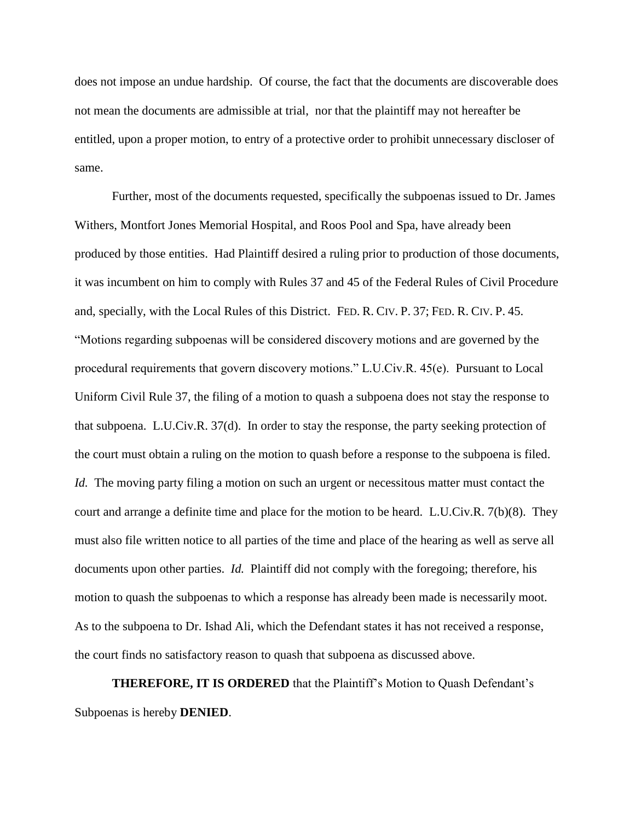does not impose an undue hardship. Of course, the fact that the documents are discoverable does not mean the documents are admissible at trial, nor that the plaintiff may not hereafter be entitled, upon a proper motion, to entry of a protective order to prohibit unnecessary discloser of same.

Further, most of the documents requested, specifically the subpoenas issued to Dr. James Withers, Montfort Jones Memorial Hospital, and Roos Pool and Spa, have already been produced by those entities. Had Plaintiff desired a ruling prior to production of those documents, it was incumbent on him to comply with Rules 37 and 45 of the Federal Rules of Civil Procedure and, specially, with the Local Rules of this District. FED. R. CIV. P. 37; FED. R. CIV. P. 45. "Motions regarding subpoenas will be considered discovery motions and are governed by the procedural requirements that govern discovery motions." L.U.Civ.R. 45(e). Pursuant to Local Uniform Civil Rule 37, the filing of a motion to quash a subpoena does not stay the response to that subpoena. L.U.Civ.R. 37(d). In order to stay the response, the party seeking protection of the court must obtain a ruling on the motion to quash before a response to the subpoena is filed. *Id.* The moving party filing a motion on such an urgent or necessitous matter must contact the court and arrange a definite time and place for the motion to be heard. L.U.Civ.R. 7(b)(8). They must also file written notice to all parties of the time and place of the hearing as well as serve all documents upon other parties. *Id.* Plaintiff did not comply with the foregoing; therefore, his motion to quash the subpoenas to which a response has already been made is necessarily moot. As to the subpoena to Dr. Ishad Ali, which the Defendant states it has not received a response, the court finds no satisfactory reason to quash that subpoena as discussed above.

**THEREFORE, IT IS ORDERED** that the Plaintiff's Motion to Quash Defendant's Subpoenas is hereby **DENIED**.